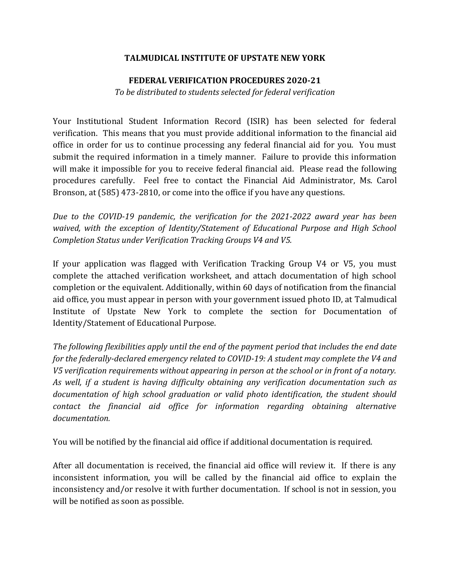## **TALMUDICAL INSTITUTE OF UPSTATE NEW YORK**

## **FEDERAL VERIFICATION PROCEDURES 2020-21**

*To be distributed to students selected for federal verification*

Your Institutional Student Information Record (ISIR) has been selected for federal verification. This means that you must provide additional information to the financial aid office in order for us to continue processing any federal financial aid for you. You must submit the required information in a timely manner. Failure to provide this information will make it impossible for you to receive federal financial aid. Please read the following procedures carefully. Feel free to contact the Financial Aid Administrator, Ms. Carol Bronson, at (585) 473-2810, or come into the office if you have any questions.

*Due to the COVID-19 pandemic, the verification for the 2021-2022 award year has been waived, with the exception of Identity/Statement of Educational Purpose and High School Completion Status under Verification Tracking Groups V4 and V5.*

If your application was flagged with Verification Tracking Group V4 or V5, you must complete the attached verification worksheet, and attach documentation of high school completion or the equivalent. Additionally, within 60 days of notification from the financial aid office, you must appear in person with your government issued photo ID, at Talmudical Institute of Upstate New York to complete the section for Documentation of Identity/Statement of Educational Purpose.

*The following flexibilities apply until the end of the payment period that includes the end date for the federally-declared emergency related to COVID-19: A student may complete the V4 and V5 verification requirements without appearing in person at the school or in front of a notary. As well, if a student is having difficulty obtaining any verification documentation such as documentation of high school graduation or valid photo identification, the student should contact the financial aid office for information regarding obtaining alternative documentation.*

You will be notified by the financial aid office if additional documentation is required.

After all documentation is received, the financial aid office will review it. If there is any inconsistent information, you will be called by the financial aid office to explain the inconsistency and/or resolve it with further documentation. If school is not in session, you will be notified as soon as possible.